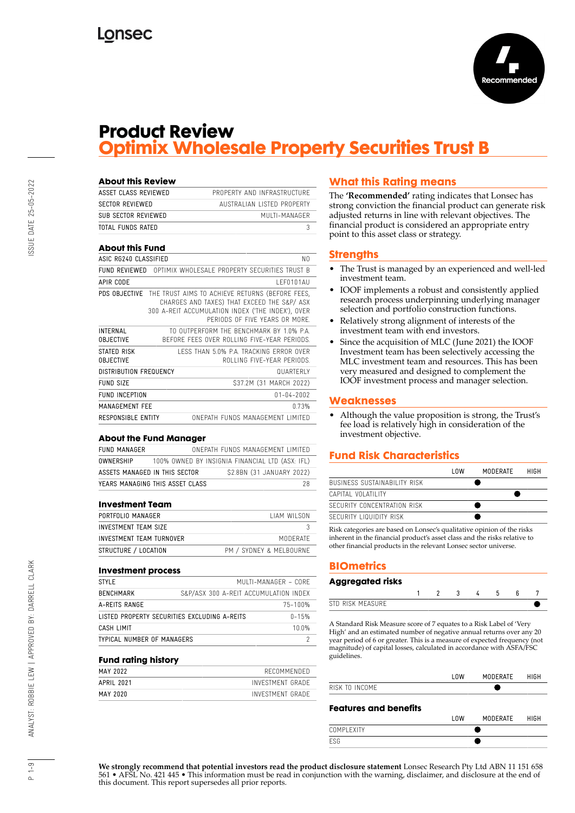

## **Product Review Optimix Wholesale Property Securities Trust B**

| About this Review                   |                                                                                                                                                                                                    |
|-------------------------------------|----------------------------------------------------------------------------------------------------------------------------------------------------------------------------------------------------|
| ASSET CLASS REVIEWED                | PROPERTY AND INFRASTRUCTURE                                                                                                                                                                        |
| <b>SECTOR REVIEWED</b>              | AUSTRALIAN LISTED PROPERTY                                                                                                                                                                         |
| SUB SECTOR REVIEWED                 | MUITI-MANAGER                                                                                                                                                                                      |
| TOTAL FUNDS RATED                   | 3                                                                                                                                                                                                  |
| <b>About this Fund</b>              |                                                                                                                                                                                                    |
| ASIC RG240 CLASSIFIED               | NO.                                                                                                                                                                                                |
|                                     | <b>FUND REVIEWED</b> OPTIMIX WHOLFSALF PROPERTY SECURITIES TRUST B                                                                                                                                 |
| APIR CODE                           | IFF0101AU                                                                                                                                                                                          |
|                                     | PDS OBJECTIVE THE TRUST AIMS TO ACHIEVE RETURNS (BEFORE FEES,<br>CHARGES AND TAXES) THAT EXCEED THE S&P/ ASX<br>300 A-REIT ACCUMULATION INDEX ('THE INDEX'), OVER<br>PERIODS OF FIVE YEARS OR MORE |
| <b>INTERNAL</b><br><b>OBJECTIVE</b> | TO OUTPERFORM THE RENCHMARK BY 1 0% PA<br>BEFORE FEES OVER ROLLING FIVE-YEAR PERIODS.                                                                                                              |
| STATED RISK<br><b>OBJECTIVE</b>     | LESS THAN 5.0% PA TRACKING FRROR OVER<br>ROLLING FIVE-YEAR PERIODS                                                                                                                                 |
| <b>DISTRIBUTION FREQUENCY</b>       | <b>QUARTERIY</b>                                                                                                                                                                                   |
| FUND SIZE                           | \$37.2M (31 MARCH 2022)                                                                                                                                                                            |
| <b>FUND INCEPTION</b>               | $01 - 04 - 2002$                                                                                                                                                                                   |
| MANAGEMENT FFF                      | n 73%                                                                                                                                                                                              |
| <b>RESPONSIBLE ENTITY</b>           | ONFPATH FUNDS MANAGEMENT LIMITED                                                                                                                                                                   |

### **About the Fund Manager**

| FUND MANAGER                    |                                                 | ONFPATH FUNDS MANAGEMENT LIMITED |                           |    |
|---------------------------------|-------------------------------------------------|----------------------------------|---------------------------|----|
| OWNERSHIP                       | 100% OWNED BY INSIGNIA FINANCIAL LTD (ASX: IFL) |                                  |                           |    |
| ASSETS MANAGED IN THIS SECTOR   |                                                 |                                  | \$2.8BN (31 JANUARY 2022) |    |
| YEARS MANAGING THIS ASSET CLASS |                                                 |                                  |                           | 28 |

## **Investment Team**

| PORTFOLIO MANAGER        | <b>TIAM WILSON</b>      |
|--------------------------|-------------------------|
| INVESTMENT TEAM SIZE     |                         |
| INVESTMENT TEAM TURNOVER | MODERATE                |
| STRUCTURE / LOCATION     | PM / SYDNEY & MELBOURNE |

#### **Investment process**

| STYLE                      |                                              | MUI TI-MANAGER - CORE |
|----------------------------|----------------------------------------------|-----------------------|
| BENCHMARK                  | S&P/ASX 300 A-REIT ACCUMULATION INDEX        |                       |
| A-REITS RANGE              |                                              | 75-100%               |
|                            | LISTED PROPERTY SECURITIES EXCLUDING A-REITS | $0 - 15%$             |
| CASH LIMIT                 |                                              | 1 በ በ%                |
| TYPICAL NUMBER OF MANAGERS |                                              |                       |

#### **Fund rating history**

| MAY 2022   | RECOMMENDED      |
|------------|------------------|
| APRIL 2021 | INVESTMENT GRADE |
| MAY 2020   | INVESTMENT GRADE |

## **What this Rating means**

The **'Recommended'** rating indicates that Lonsec has strong conviction the financial product can generate risk adjusted returns in line with relevant objectives. The financial product is considered an appropriate entry point to this asset class or strategy.

## **Strengths**

- The Trust is managed by an experienced and well-led investment team.
- IOOF implements a robust and consistently applied research process underpinning underlying manager selection and portfolio construction functions.
- Relatively strong alignment of interests of the investment team with end investors.
- Since the acquisition of MLC (June 2021) the IOOF Investment team has been selectively accessing the MLC investment team and resources. This has been very measured and designed to complement the IOOF investment process and manager selection.

## **Weaknesses**

• Although the value proposition is strong, the Trust's fee load is relatively high in consideration of the investment objective.

## **Fund Risk Characteristics**

|                                     | l nw | MODERATE | HIGH |
|-------------------------------------|------|----------|------|
| <b>BUSINESS SUSTAINABILITY RISK</b> |      |          |      |
| CAPITAL VOLATILITY                  |      |          |      |
| SECURITY CONCENTRATION RISK         |      |          |      |
| SECURITY LIQUIDITY RISK             |      |          |      |

Risk categories are based on Lonsec's qualitative opinion of the risks inherent in the financial product's asset class and the risks relative to other financial products in the relevant Lonsec sector universe.

## **BIOmetrics**

#### **Aggregated risks**

A Standard Risk Measure score of 7 equates to a Risk Label of 'Very High' and an estimated number of negative annual returns over any 20 year period of 6 or greater. This is a measure of expected frequency (not magnitude) of capital losses, calculated in accordance with ASFA/FSC guidelines.

|                              | l OW | MODERATE | HIGH |
|------------------------------|------|----------|------|
| RISK TO INCOME               |      |          |      |
| <b>Features and benefits</b> | l nw | MODERATE | HIGH |

|             | LUW | <b>MUDLIAIL</b> | ,,,,,, |
|-------------|-----|-----------------|--------|
| <b>NMPI</b> |     |                 |        |
|             |     |                 |        |
|             |     |                 |        |

**We strongly recommend that potential investors read the product disclosure statement** Lonsec Research Pty Ltd ABN 11 151 658 561 • AFSL No. 421 445 • This information must be read in conjunction with the warning, disclaimer, and disclosure at the end of this document. This report supersedes all prior reports.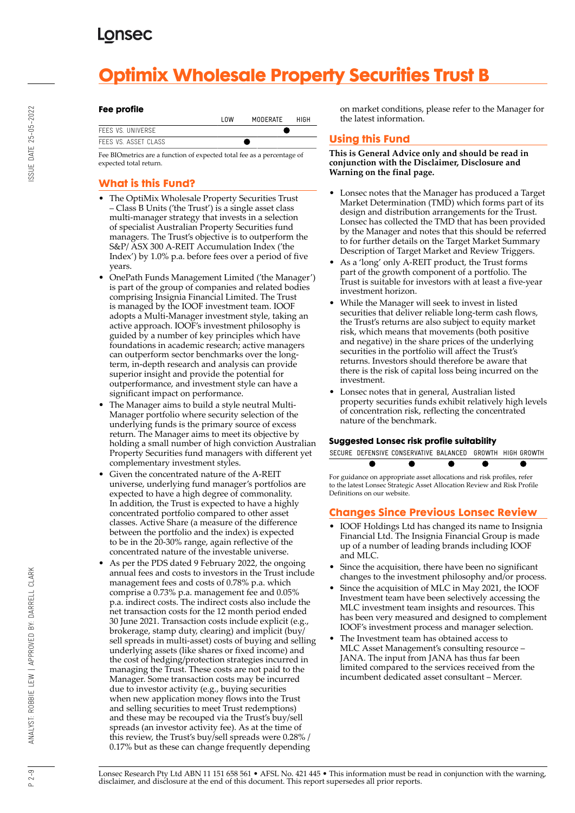# **Optimix Wholesale Property Securities Trust B**

## **Fee profile**

|                      | l OW | MODERATE | HIGH |
|----------------------|------|----------|------|
| FFFS VS. UNIVERSE    |      |          |      |
| FEES VS. ASSET CLASS |      |          |      |

Fee BIOmetrics are a function of expected total fee as a percentage of expected total return.

## **What is this Fund?**

- The OptiMix Wholesale Property Securities Trust – Class B Units ('the Trust') is a single asset class multi-manager strategy that invests in a selection of specialist Australian Property Securities fund managers. The Trust's objective is to outperform the S&P/ ASX 300 A-REIT Accumulation Index ('the Index') by 1.0% p.a. before fees over a period of five years.
- OnePath Funds Management Limited ('the Manager') is part of the group of companies and related bodies comprising Insignia Financial Limited. The Trust is managed by the IOOF investment team. IOOF adopts a Multi-Manager investment style, taking an active approach. IOOF's investment philosophy is guided by a number of key principles which have foundations in academic research; active managers can outperform sector benchmarks over the longterm, in-depth research and analysis can provide superior insight and provide the potential for outperformance, and investment style can have a significant impact on performance.
- The Manager aims to build a style neutral Multi-Manager portfolio where security selection of the underlying funds is the primary source of excess return. The Manager aims to meet its objective by holding a small number of high conviction Australian Property Securities fund managers with different yet complementary investment styles.
- Given the concentrated nature of the A-REIT universe, underlying fund manager's portfolios are expected to have a high degree of commonality. In addition, the Trust is expected to have a highly concentrated portfolio compared to other asset classes. Active Share (a measure of the difference between the portfolio and the index) is expected to be in the 20-30% range, again reflective of the concentrated nature of the investable universe.
- As per the PDS dated 9 February 2022, the ongoing annual fees and costs to investors in the Trust include management fees and costs of 0.78% p.a. which comprise a 0.73% p.a. management fee and 0.05% p.a. indirect costs. The indirect costs also include the net transaction costs for the 12 month period ended 30 June 2021. Transaction costs include explicit (e.g., brokerage, stamp duty, clearing) and implicit (buy/ sell spreads in multi-asset) costs of buying and selling underlying assets (like shares or fixed income) and the cost of hedging/protection strategies incurred in managing the Trust. These costs are not paid to the Manager. Some transaction costs may be incurred due to investor activity (e.g., buying securities when new application money flows into the Trust and selling securities to meet Trust redemptions) and these may be recouped via the Trust's buy/sell spreads (an investor activity fee). As at the time of this review, the Trust's buy/sell spreads were 0.28% / 0.17% but as these can change frequently depending

on market conditions, please refer to the Manager for the latest information.

## **Using this Fund**

**This is General Advice only and should be read in conjunction with the Disclaimer, Disclosure and Warning on the final page.**

- Lonsec notes that the Manager has produced a Target Market Determination (TMD) which forms part of its design and distribution arrangements for the Trust. Lonsec has collected the TMD that has been provided by the Manager and notes that this should be referred to for further details on the Target Market Summary Description of Target Market and Review Triggers.
- As a 'long' only A-REIT product, the Trust forms part of the growth component of a portfolio. The Trust is suitable for investors with at least a five-year investment horizon.
- While the Manager will seek to invest in listed securities that deliver reliable long-term cash flows, the Trust's returns are also subject to equity market risk, which means that movements (both positive and negative) in the share prices of the underlying securities in the portfolio will affect the Trust's returns. Investors should therefore be aware that there is the risk of capital loss being incurred on the investment.
- Lonsec notes that in general, Australian listed property securities funds exhibit relatively high levels of concentration risk, reflecting the concentrated nature of the benchmark.

## **Suggested Lonsec risk profile suitability**

SECURE DEFENSIVE CONSERVATIVE BALANCED GROWTH HIGH GROWTH

ē For guidance on appropriate asset allocations and risk profiles, refer to the latest Lonsec Strategic Asset Allocation Review and Risk Profile Definitions on our website.

## **Changes Since Previous Lonsec Review**

- IOOF Holdings Ltd has changed its name to Insignia Financial Ltd. The Insignia Financial Group is made up of a number of leading brands including IOOF and MLC.
- Since the acquisition, there have been no significant changes to the investment philosophy and/or process.
- Since the acquisition of MLC in May 2021, the IOOF Investment team have been selectively accessing the MLC investment team insights and resources. This has been very measured and designed to complement IOOF's investment process and manager selection.
- The Investment team has obtained access to MLC Asset Management's consulting resource – JANA. The input from JANA has thus far been limited compared to the services received from the incumbent dedicated asset consultant – Mercer.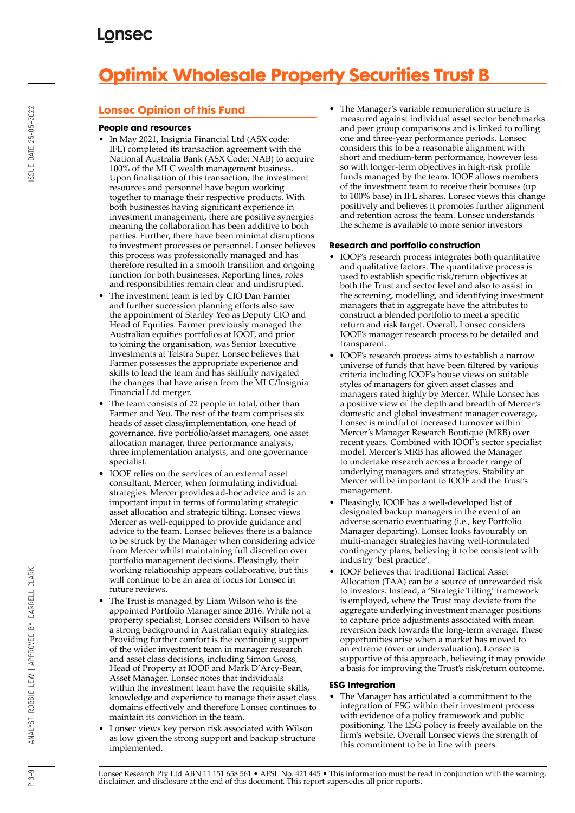# **Optimix Wholesale Property Securities Trust B**

## **Lonsec Opinion of this Fund**

## **People and resources**

- In May 2021, Insignia Financial Ltd (ASX code: IFL) completed its transaction agreement with the National Australia Bank (ASX Code: NAB) to acquire 100% of the MLC wealth management business. Upon finalisation of this transaction, the investment resources and personnel have begun working together to manage their respective products. With both businesses having significant experience in investment management, there are positive synergies meaning the collaboration has been additive to both parties. Further, there have been minimal disruptions to investment processes or personnel. Lonsec believes this process was professionally managed and has therefore resulted in a smooth transition and ongoing function for both businesses. Reporting lines, roles and responsibilities remain clear and undisrupted.
- The investment team is led by CIO Dan Farmer and further succession planning efforts also saw the appointment of Stanley Yeo as Deputy CIO and Head of Equities. Farmer previously managed the Australian equities portfolios at IOOF, and prior to joining the organisation, was Senior Executive Investments at Telstra Super. Lonsec believes that Farmer possesses the appropriate experience and skills to lead the team and has skilfully navigated the changes that have arisen from the MLC/Insignia Financial Ltd merger.
- The team consists of 22 people in total, other than Farmer and Yeo. The rest of the team comprises six heads of asset class/implementation, one head of governance, five portfolio/asset managers, one asset allocation manager, three performance analysts, three implementation analysts, and one governance specialist.
- IOOF relies on the services of an external asset consultant, Mercer, when formulating individual strategies. Mercer provides ad-hoc advice and is an important input in terms of formulating strategic asset allocation and strategic tilting. Lonsec views Mercer as well-equipped to provide guidance and advice to the team. Lonsec believes there is a balance to be struck by the Manager when considering advice from Mercer whilst maintaining full discretion over portfolio management decisions. Pleasingly, their working relationship appears collaborative, but this will continue to be an area of focus for Lonsec in future reviews.
- The Trust is managed by Liam Wilson who is the appointed Portfolio Manager since 2016. While not a property specialist, Lonsec considers Wilson to have a strong background in Australian equity strategies. Providing further comfort is the continuing support of the wider investment team in manager research and asset class decisions, including Simon Gross, Head of Property at IOOF and Mark D'Arcy-Bean, Asset Manager. Lonsec notes that individuals within the investment team have the requisite skills, knowledge and experience to manage their asset class domains effectively and therefore Lonsec continues to maintain its conviction in the team.
- Lonsec views key person risk associated with Wilson as low given the strong support and backup structure implemented.

• The Manager's variable remuneration structure is measured against individual asset sector benchmarks and peer group comparisons and is linked to rolling one and three-year performance periods. Lonsec considers this to be a reasonable alignment with short and medium-term performance, however less so with longer-term objectives in high-risk profile funds managed by the team. IOOF allows members of the investment team to receive their bonuses (up to 100% base) in IFL shares. Lonsec views this change positively and believes it promotes further alignment and retention across the team. Lonsec understands the scheme is available to more senior investors

## **Research and portfolio construction**

- IOOF's research process integrates both quantitative and qualitative factors. The quantitative process is used to establish specific risk/return objectives at both the Trust and sector level and also to assist in the screening, modelling, and identifying investment managers that in aggregate have the attributes to construct a blended portfolio to meet a specific return and risk target. Overall, Lonsec considers IOOF's manager research process to be detailed and transparent.
- IOOF's research process aims to establish a narrow universe of funds that have been filtered by various criteria including IOOF's house views on suitable styles of managers for given asset classes and managers rated highly by Mercer. While Lonsec has a positive view of the depth and breadth of Mercer's domestic and global investment manager coverage, Lonsec is mindful of increased turnover within Mercer's Manager Research Boutique (MRB) over recent years. Combined with IOOF's sector specialist model, Mercer's MRB has allowed the Manager to undertake research across a broader range of underlying managers and strategies. Stability at Mercer will be important to IOOF and the Trust's management.
- Pleasingly, IOOF has a well-developed list of designated backup managers in the event of an adverse scenario eventuating (i.e., key Portfolio Manager departing). Lonsec looks favourably on multi-manager strategies having well-formulated contingency plans, believing it to be consistent with industry 'best practice'.
- IOOF believes that traditional Tactical Asset Allocation (TAA) can be a source of unrewarded risk to investors. Instead, a 'Strategic Tilting' framework is employed, where the Trust may deviate from the aggregate underlying investment manager positions to capture price adjustments associated with mean reversion back towards the long-term average. These opportunities arise when a market has moved to an extreme (over or undervaluation). Lonsec is supportive of this approach, believing it may provide a basis for improving the Trust's risk/return outcome.

## **ESG Integration**

The Manager has articulated a commitment to the integration of ESG within their investment process with evidence of a policy framework and public positioning. The ESG policy is freely available on the firm's website. Overall Lonsec views the strength of this commitment to be in line with peers.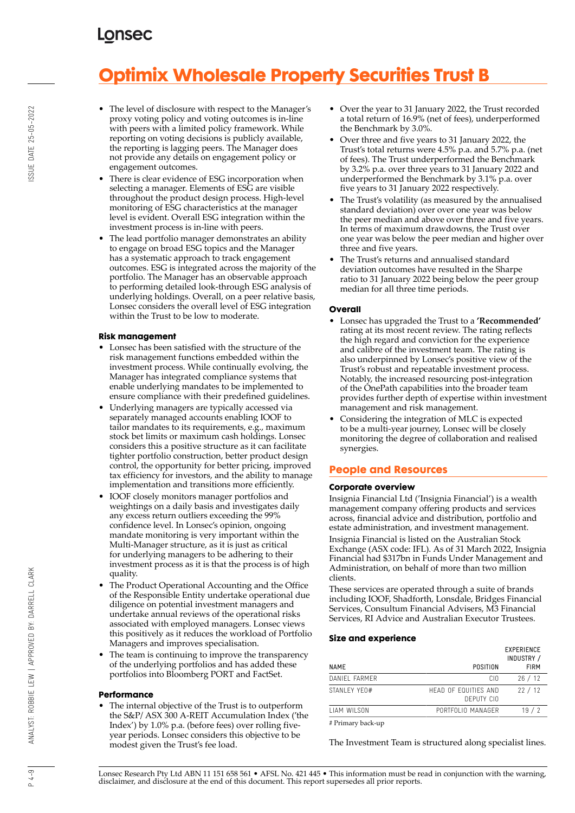# **Optimix Wholesale Property Securities Trust B**

- The level of disclosure with respect to the Manager's proxy voting policy and voting outcomes is in-line with peers with a limited policy framework. While reporting on voting decisions is publicly available, the reporting is lagging peers. The Manager does not provide any details on engagement policy or engagement outcomes.
- There is clear evidence of ESG incorporation when selecting a manager. Elements of ESG are visible throughout the product design process. High-level monitoring of ESG characteristics at the manager level is evident. Overall ESG integration within the investment process is in-line with peers.
- The lead portfolio manager demonstrates an ability to engage on broad ESG topics and the Manager has a systematic approach to track engagement outcomes. ESG is integrated across the majority of the portfolio. The Manager has an observable approach to performing detailed look-through ESG analysis of underlying holdings. Overall, on a peer relative basis, Lonsec considers the overall level of ESG integration within the Trust to be low to moderate.

## **Risk management**

- Lonsec has been satisfied with the structure of the risk management functions embedded within the investment process. While continually evolving, the Manager has integrated compliance systems that enable underlying mandates to be implemented to ensure compliance with their predefined guidelines.
- Underlying managers are typically accessed via separately managed accounts enabling IOOF to tailor mandates to its requirements, e.g., maximum stock bet limits or maximum cash holdings. Lonsec considers this a positive structure as it can facilitate tighter portfolio construction, better product design control, the opportunity for better pricing, improved tax efficiency for investors, and the ability to manage implementation and transitions more efficiently.
- IOOF closely monitors manager portfolios and weightings on a daily basis and investigates daily any excess return outliers exceeding the 99% confidence level. In Lonsec's opinion, ongoing mandate monitoring is very important within the Multi-Manager structure, as it is just as critical for underlying managers to be adhering to their investment process as it is that the process is of high quality.
- The Product Operational Accounting and the Office of the Responsible Entity undertake operational due diligence on potential investment managers and undertake annual reviews of the operational risks associated with employed managers. Lonsec views this positively as it reduces the workload of Portfolio Managers and improves specialisation.
- The team is continuing to improve the transparency of the underlying portfolios and has added these portfolios into Bloomberg PORT and FactSet.

## **Performance**

• The internal objective of the Trust is to outperform the S&P/ ASX 300 A-REIT Accumulation Index ('the Index') by 1.0% p.a. (before fees) over rolling fiveyear periods. Lonsec considers this objective to be modest given the Trust's fee load.

- Over the year to 31 January 2022, the Trust recorded a total return of 16.9% (net of fees), underperformed the Benchmark by 3.0%.
- Over three and five years to 31 January 2022, the Trust's total returns were 4.5% p.a. and 5.7% p.a. (net of fees). The Trust underperformed the Benchmark by 3.2% p.a. over three years to 31 January 2022 and underperformed the Benchmark by 3.1% p.a. over five years to 31 January 2022 respectively.
- The Trust's volatility (as measured by the annualised standard deviation) over over one year was below the peer median and above over three and five years. In terms of maximum drawdowns, the Trust over one year was below the peer median and higher over three and five years.
- The Trust's returns and annualised standard deviation outcomes have resulted in the Sharpe ratio to 31 January 2022 being below the peer group median for all three time periods.

## **Overall**

- Lonsec has upgraded the Trust to a **'Recommended'** rating at its most recent review. The rating reflects the high regard and conviction for the experience and calibre of the investment team. The rating is also underpinned by Lonsec's positive view of the Trust's robust and repeatable investment process. Notably, the increased resourcing post-integration of the OnePath capabilities into the broader team provides further depth of expertise within investment management and risk management.
- Considering the integration of MLC is expected to be a multi-year journey, Lonsec will be closely monitoring the degree of collaboration and realised synergies.

## **People and Resources**

## **Corporate overview**

Insignia Financial Ltd ('Insignia Financial') is a wealth management company offering products and services across, financial advice and distribution, portfolio and estate administration, and investment management. Insignia Financial is listed on the Australian Stock Exchange (ASX code: IFL). As of 31 March 2022, Insignia Financial had \$317bn in Funds Under Management and Administration, on behalf of more than two million clients.

These services are operated through a suite of brands including IOOF, Shadforth, Lonsdale, Bridges Financial Services, Consultum Financial Advisers, M3 Financial Services, RI Advice and Australian Executor Trustees.

#### **Size and experience**

|                     |                                    | <b>EXPERIENCE</b><br>INDUSTRY / |
|---------------------|------------------------------------|---------------------------------|
| <b>NAME</b>         | POSITION                           | <b>FIRM</b>                     |
| DANIEL FARMER       | CIO                                | 26/12                           |
| STANI FY YF0#       | HEAD OF FOUITIES AND<br>DEPUTY CIO | 22/12                           |
| <b>I IAM WILSON</b> | PORTFOLIO MANAGER                  | 19/2                            |
| # Primary back-up   |                                    |                                 |

The Investment Team is structured along specialist lines.

Lonsec Research Pty Ltd ABN 11 151 658 561 • AFSL No. 421 445 • This information must be read in conjunction with the warning, disclaimer, and disclosure at the end of this document. This report supersedes all prior reports.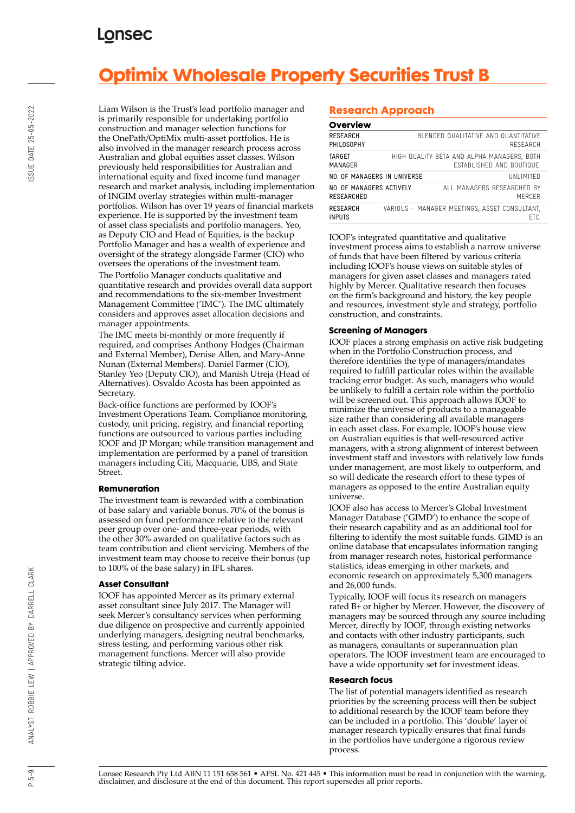# **Optimix Wholesale Property Securities Trust B**

Liam Wilson is the Trust's lead portfolio manager and is primarily responsible for undertaking portfolio construction and manager selection functions for the OnePath/OptiMix multi-asset portfolios. He is also involved in the manager research process across Australian and global equities asset classes. Wilson previously held responsibilities for Australian and international equity and fixed income fund manager research and market analysis, including implementation of INGIM overlay strategies within multi-manager portfolios. Wilson has over 19 years of financial markets experience. He is supported by the investment team of asset class specialists and portfolio managers. Yeo, as Deputy CIO and Head of Equities, is the backup Portfolio Manager and has a wealth of experience and oversight of the strategy alongside Farmer (CIO) who oversees the operations of the investment team.

The Portfolio Manager conducts qualitative and quantitative research and provides overall data support and recommendations to the six-member Investment Management Committee ('IMC'). The IMC ultimately considers and approves asset allocation decisions and manager appointments.

The IMC meets bi-monthly or more frequently if required, and comprises Anthony Hodges (Chairman and External Member), Denise Allen, and Mary-Anne Nunan (External Members). Daniel Farmer (CIO), Stanley Yeo (Deputy CIO), and Manish Utreja (Head of Alternatives). Osvaldo Acosta has been appointed as Secretary.

Back-office functions are performed by IOOF's Investment Operations Team. Compliance monitoring, custody, unit pricing, registry, and financial reporting functions are outsourced to various parties including IOOF and JP Morgan; while transition management and implementation are performed by a panel of transition managers including Citi, Macquarie, UBS, and State Street.

## **Remuneration**

The investment team is rewarded with a combination of base salary and variable bonus. 70% of the bonus is assessed on fund performance relative to the relevant peer group over one- and three-year periods, with the other 30% awarded on qualitative factors such as team contribution and client servicing. Members of the investment team may choose to receive their bonus (up to 100% of the base salary) in IFL shares.

## **Asset Consultant**

IOOF has appointed Mercer as its primary external asset consultant since July 2017. The Manager will seek Mercer's consultancy services when performing due diligence on prospective and currently appointed underlying managers, designing neutral benchmarks, stress testing, and performing various other risk management functions. Mercer will also provide strategic tilting advice.

## **Research Approach**

## **Overview**

| -                                      |                                                                                |
|----------------------------------------|--------------------------------------------------------------------------------|
| RESEARCH<br>PHILOSOPHY                 | BI ENDED QUALITATIVE AND QUANTITATIVE<br>RESEARCH                              |
| TARGET<br>MANAGER                      | HIGH QUALITY BETA AND ALPHA MANAGERS, BOTH<br><b>FSTABLISHED AND BOUTIQUE.</b> |
| NO. OF MANAGERS IN UNIVERSE            | UNI IMITED                                                                     |
| NO. OF MANAGERS ACTIVELY<br>RESEARCHED | ALL MANAGERS RESEARCHED BY<br>MFRCFR                                           |
| RESEARCH<br>INPUTS                     | VARIOUS - MANAGER MEETINGS, ASSET CONSULTANT.<br>FTC.                          |

IOOF's integrated quantitative and qualitative investment process aims to establish a narrow universe of funds that have been filtered by various criteria including IOOF's house views on suitable styles of managers for given asset classes and managers rated highly by Mercer. Qualitative research then focuses on the firm's background and history, the key people and resources, investment style and strategy, portfolio construction, and constraints.

## **Screening of Managers**

IOOF places a strong emphasis on active risk budgeting when in the Portfolio Construction process, and therefore identifies the type of managers/mandates required to fulfill particular roles within the available tracking error budget. As such, managers who would be unlikely to fulfill a certain role within the portfolio will be screened out. This approach allows IOOF to minimize the universe of products to a manageable size rather than considering all available managers in each asset class. For example, IOOF's house view on Australian equities is that well-resourced active managers, with a strong alignment of interest between investment staff and investors with relatively low funds under management, are most likely to outperform, and so will dedicate the research effort to these types of managers as opposed to the entire Australian equity universe.

IOOF also has access to Mercer's Global Investment Manager Database ('GIMD') to enhance the scope of their research capability and as an additional tool for filtering to identify the most suitable funds. GIMD is an online database that encapsulates information ranging from manager research notes, historical performance statistics, ideas emerging in other markets, and economic research on approximately 5,300 managers and 26,000 funds.

Typically, IOOF will focus its research on managers rated B+ or higher by Mercer. However, the discovery of managers may be sourced through any source including Mercer, directly by IOOF, through existing networks and contacts with other industry participants, such as managers, consultants or superannuation plan operators. The IOOF investment team are encouraged to have a wide opportunity set for investment ideas.

## **Research focus**

The list of potential managers identified as research priorities by the screening process will then be subject to additional research by the IOOF team before they can be included in a portfolio. This 'double' layer of manager research typically ensures that final funds in the portfolios have undergone a rigorous review process.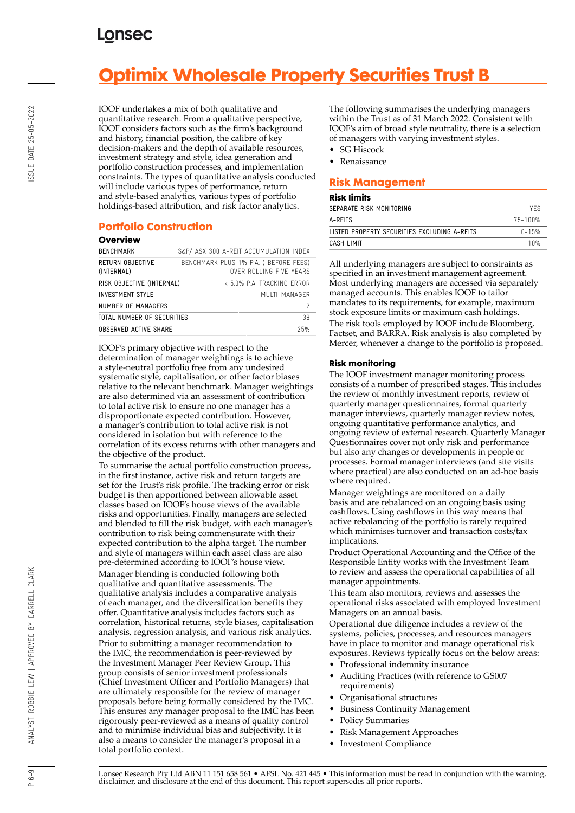# **Optimix Wholesale Property Securities Trust B**

IOOF undertakes a mix of both qualitative and quantitative research. From a qualitative perspective, IOOF considers factors such as the firm's background and history, financial position, the calibre of key decision-makers and the depth of available resources, investment strategy and style, idea generation and portfolio construction processes, and implementation constraints. The types of quantitative analysis conducted will include various types of performance, return and style-based analytics, various types of portfolio holdings-based attribution, and risk factor analytics.

## **Portfolio Construction**

| Overview                       |                                                                  |
|--------------------------------|------------------------------------------------------------------|
| <b>BENCHMARK</b>               | S&P/ ASX 300 A-REIT ACCUMULATION INDEX                           |
| RETURN OBJECTIVE<br>(INTERNAL) | BENCHMARK PLUS 1% P.A. ( BEFORE FEES)<br>OVER ROLLING FIVE-YEARS |
| RISK OBJECTIVE (INTERNAL)      | < 5.0% P.A. TRACKING FRROR                                       |
| <b>INVESTMENT STYLE</b>        | MUITI-MANAGER                                                    |
| NUMBER OF MANAGERS             | 2                                                                |
| TOTAL NUMBER OF SECURITIES     | 38                                                               |
| OBSERVED ACTIVE SHARE          | 25%                                                              |

IOOF's primary objective with respect to the determination of manager weightings is to achieve a style-neutral portfolio free from any undesired systematic style, capitalisation, or other factor biases relative to the relevant benchmark. Manager weightings are also determined via an assessment of contribution to total active risk to ensure no one manager has a disproportionate expected contribution. However, a manager's contribution to total active risk is not considered in isolation but with reference to the correlation of its excess returns with other managers and the objective of the product.

To summarise the actual portfolio construction process, in the first instance, active risk and return targets are set for the Trust's risk profile. The tracking error or risk budget is then apportioned between allowable asset classes based on IOOF's house views of the available risks and opportunities. Finally, managers are selected and blended to fill the risk budget, with each manager's contribution to risk being commensurate with their expected contribution to the alpha target. The number and style of managers within each asset class are also pre-determined according to IOOF's house view. Manager blending is conducted following both qualitative and quantitative assessments. The qualitative analysis includes a comparative analysis of each manager, and the diversification benefits they offer. Quantitative analysis includes factors such as correlation, historical returns, style biases, capitalisation analysis, regression analysis, and various risk analytics. Prior to submitting a manager recommendation to the IMC, the recommendation is peer-reviewed by the Investment Manager Peer Review Group. This group consists of senior investment professionals (Chief Investment Officer and Portfolio Managers) that are ultimately responsible for the review of manager proposals before being formally considered by the IMC. This ensures any manager proposal to the IMC has been rigorously peer-reviewed as a means of quality control and to minimise individual bias and subjectivity. It is also a means to consider the manager's proposal in a total portfolio context.

The following summarises the underlying managers within the Trust as of 31 March 2022. Consistent with IOOF's aim of broad style neutrality, there is a selection of managers with varying investment styles.

- **SG Hiscock**
- Renaissance

## **Risk Management**

## **Risk limits**

| .                                            |            |  |  |
|----------------------------------------------|------------|--|--|
| SEPARATE RISK MONITORING                     | <b>YFS</b> |  |  |
| A-RFITS                                      | 75-100%    |  |  |
| LISTED PROPERTY SECURITIES EXCLUDING A-REITS | $0 - 15%$  |  |  |
| CASH I IMIT                                  | 10%        |  |  |
|                                              |            |  |  |

All underlying managers are subject to constraints as specified in an investment management agreement. Most underlying managers are accessed via separately managed accounts. This enables IOOF to tailor mandates to its requirements, for example, maximum stock exposure limits or maximum cash holdings. The risk tools employed by IOOF include Bloomberg, Factset, and BARRA. Risk analysis is also completed by Mercer, whenever a change to the portfolio is proposed.

## **Risk monitoring**

The IOOF investment manager monitoring process consists of a number of prescribed stages. This includes the review of monthly investment reports, review of quarterly manager questionnaires, formal quarterly manager interviews, quarterly manager review notes, ongoing quantitative performance analytics, and ongoing review of external research. Quarterly Manager Questionnaires cover not only risk and performance but also any changes or developments in people or processes. Formal manager interviews (and site visits where practical) are also conducted on an ad-hoc basis where required.

Manager weightings are monitored on a daily basis and are rebalanced on an ongoing basis using cashflows. Using cashflows in this way means that active rebalancing of the portfolio is rarely required which minimises turnover and transaction costs/tax implications.

Product Operational Accounting and the Office of the Responsible Entity works with the Investment Team to review and assess the operational capabilities of all manager appointments.

This team also monitors, reviews and assesses the operational risks associated with employed Investment Managers on an annual basis.

Operational due diligence includes a review of the systems, policies, processes, and resources managers have in place to monitor and manage operational risk exposures. Reviews typically focus on the below areas:

- Professional indemnity insurance
- Auditing Practices (with reference to GS007 requirements)
- Organisational structures
- Business Continuity Management
- Policy Summaries
- Risk Management Approaches
- Investment Compliance

ANALYST: ROBBIE LEW | APPROVED BY: DARRELL CLARK

 $6 - 9$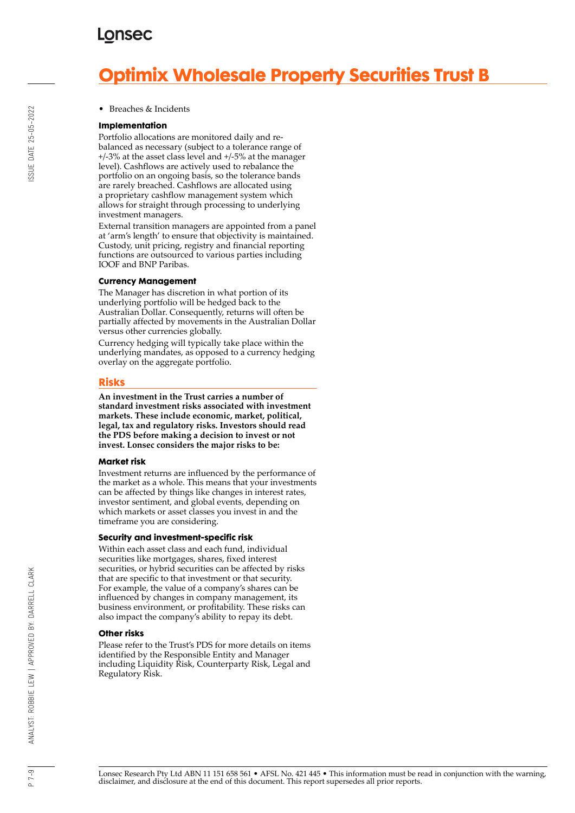## **LONSEC**

# **Optimix Wholesale Property Securities Trust B**

#### • Breaches & Incidents

#### **Implementation**

Portfolio allocations are monitored daily and rebalanced as necessary (subject to a tolerance range of +/-3% at the asset class level and +/-5% at the manager level). Cashflows are actively used to rebalance the portfolio on an ongoing basis, so the tolerance bands are rarely breached. Cashflows are allocated using a proprietary cashflow management system which allows for straight through processing to underlying investment managers.

External transition managers are appointed from a panel at 'arm's length' to ensure that objectivity is maintained. Custody, unit pricing, registry and financial reporting functions are outsourced to various parties including IOOF and BNP Paribas.

## **Currency Management**

The Manager has discretion in what portion of its underlying portfolio will be hedged back to the Australian Dollar. Consequently, returns will often be partially affected by movements in the Australian Dollar versus other currencies globally.

Currency hedging will typically take place within the underlying mandates, as opposed to a currency hedging overlay on the aggregate portfolio.

## **Risks**

**An investment in the Trust carries a number of standard investment risks associated with investment markets. These include economic, market, political, legal, tax and regulatory risks. Investors should read the PDS before making a decision to invest or not invest. Lonsec considers the major risks to be:**

#### **Market risk**

Investment returns are influenced by the performance of the market as a whole. This means that your investments can be affected by things like changes in interest rates, investor sentiment, and global events, depending on which markets or asset classes you invest in and the timeframe you are considering.

#### **Security and investment-specific risk**

Within each asset class and each fund, individual securities like mortgages, shares, fixed interest securities, or hybrid securities can be affected by risks that are specific to that investment or that security. For example, the value of a company's shares can be influenced by changes in company management, its business environment, or profitability. These risks can also impact the company's ability to repay its debt.

#### **Other risks**

Please refer to the Trust's PDS for more details on items identified by the Responsible Entity and Manager including Liquidity Risk, Counterparty Risk, Legal and Regulatory Risk.

Lonsec Research Pty Ltd ABN 11 151 658 561 • AFSL No. 421 445 • This information must be read in conjunction with the warning, disclaimer, and disclosure at the end of this document. This report supersedes all prior reports.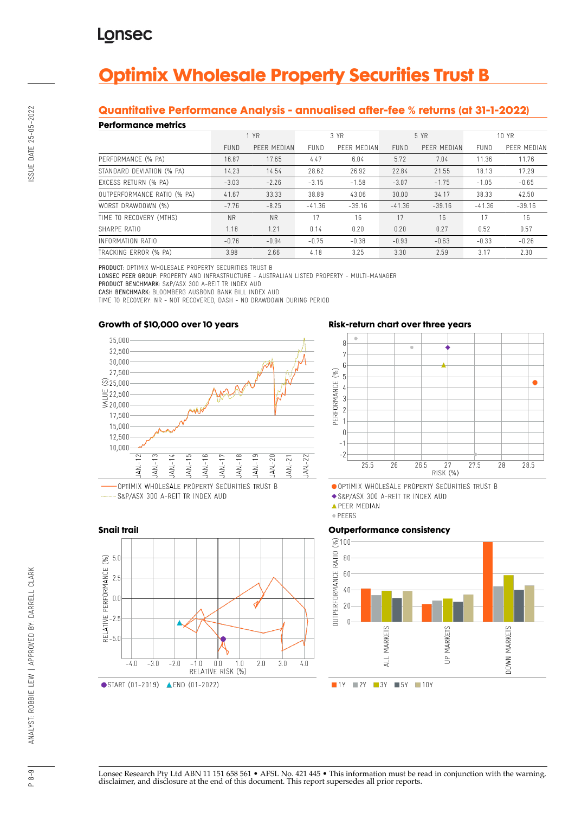# **Optimix Wholesale Property Securities Trust B**

## **Quantitative Performance Analysis - annualised after-fee % returns (at 31-1-2022)**

## **Performance metrics**

| <b>CHONNAIRS MONDAY</b>     |             |             |             |             |             |             |             |             |  |
|-----------------------------|-------------|-------------|-------------|-------------|-------------|-------------|-------------|-------------|--|
|                             |             | 1 YR        |             | 3 YR        |             | 5 YR        |             | 10 YR       |  |
|                             | <b>FUND</b> | PFFR MFDIAN | <b>FUND</b> | PFFR MFDIAN | <b>FUND</b> | PFFR MFDIAN | <b>FUND</b> | PFFR MFDIAN |  |
| PERFORMANCE (% PA)          | 16.87       | 17.65       | 4.47        | 6.04        | 5.72        | 7.04        | 11.36       | 11.76       |  |
| STANDARD DEVIATION (% PA)   | 14.23       | 14.54       | 28.62       | 26.92       | 22.84       | 21.55       | 18.13       | 17.29       |  |
| EXCESS RETURN (% PA)        | $-3.03$     | $-2.26$     | $-3.15$     | $-1.58$     | $-3.07$     | $-1.75$     | $-1.05$     | $-0.65$     |  |
| OUTPERFORMANCE RATIO (% PA) | 41.67       | 33.33       | 38.89       | 43.06       | 30.00       | 34.17       | 38.33       | 42.50       |  |
| WORST DRAWDOWN (%)          | $-7.76$     | $-8.25$     | $-41.36$    | $-39.16$    | $-41.36$    | $-39.16$    | $-41.36$    | $-39.16$    |  |
| TIME TO RECOVERY (MTHS)     | <b>NR</b>   | <b>NR</b>   | 17          | 16          | 17          | 16          | 17          | 16          |  |
| SHARPF RATIO                | 1.18        | 1.21        | 0.14        | 0.20        | 0.20        | 0.27        | 0.52        | 0.57        |  |
| INFORMATION RATIO           | $-0.76$     | $-0.94$     | $-0.75$     | $-0.38$     | $-0.93$     | $-0.63$     | $-0.33$     | $-0.26$     |  |
| TRACKING ERROR (% PA)       | 3.98        | 2.66        | 4.18        | 3.25        | 3.30        | 2.59        | 3.17        | 2.30        |  |

PRODUCT: OPTIMIX WHOLESALE PROPERTY SECURITIES TRUST B

LONSEC PEER GROUP: PROPERTY AND INFRASTRUCTURE - AUSTRALIAN LISTED PROPERTY - MULTI-MANAGER PRODUCT BENCHMARK: S&P/ASX 300 A-REIT TR INDEX AUD

∢

 $2.0$ 

 $3.0$ 

 $40$ 

CASH BENCHMARK: BLOOMBERG AUSBOND BANK BILL INDEX AUD

TIME TO RECOVERY: NR - NOT RECOVERED, DASH - NO DRAWDOWN DURING PERIOD

## **Growth of \$10,000 over 10 years**



S&P/ASX 300 A-REIT TR INDEX AUD

**Snail trail**

 $\mathcal{S}$  5.0

RELATIVE PERFORMANCE (

 $-4<sub>0</sub>$ 

 $-3n$ 

START (01-2019) **ALEND** (01-2022)

 $-2.0$ 

 $-1n$ 

 $0.0$ 

RELATIVE RISK (%)

 $1.0$ 



OPTIMIX WHOLESALE PROPERTY SECURITIES TRUST B

S&P/ASX 300 A-REIT TR INDEX AUD

· PEERS

## **Outperformance consistency**







**APEER MEDIAN**